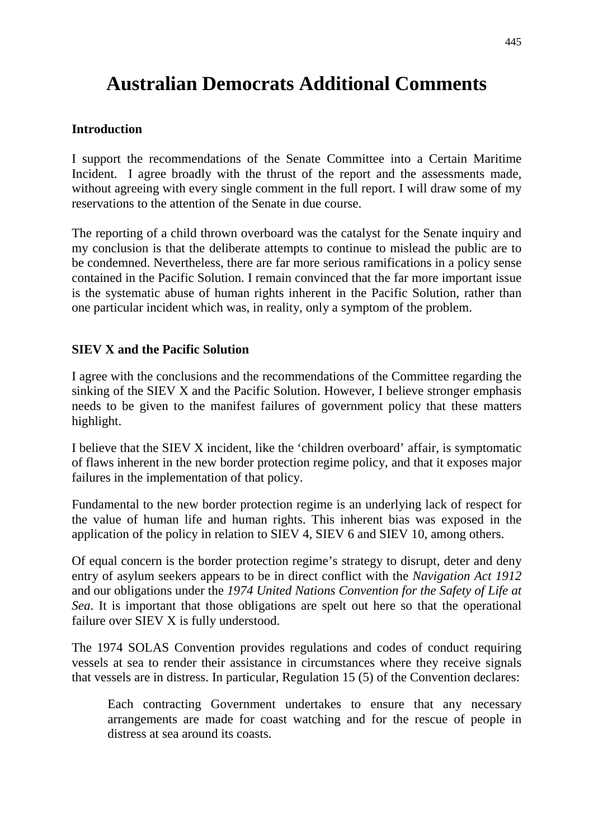# **Australian Democrats Additional Comments**

#### **Introduction**

I support the recommendations of the Senate Committee into a Certain Maritime Incident. I agree broadly with the thrust of the report and the assessments made, without agreeing with every single comment in the full report. I will draw some of my reservations to the attention of the Senate in due course.

The reporting of a child thrown overboard was the catalyst for the Senate inquiry and my conclusion is that the deliberate attempts to continue to mislead the public are to be condemned. Nevertheless, there are far more serious ramifications in a policy sense contained in the Pacific Solution. I remain convinced that the far more important issue is the systematic abuse of human rights inherent in the Pacific Solution, rather than one particular incident which was, in reality, only a symptom of the problem.

#### **SIEV X and the Pacific Solution**

I agree with the conclusions and the recommendations of the Committee regarding the sinking of the SIEV X and the Pacific Solution. However, I believe stronger emphasis needs to be given to the manifest failures of government policy that these matters highlight.

I believe that the SIEV X incident, like the 'children overboard' affair, is symptomatic of flaws inherent in the new border protection regime policy, and that it exposes major failures in the implementation of that policy.

Fundamental to the new border protection regime is an underlying lack of respect for the value of human life and human rights. This inherent bias was exposed in the application of the policy in relation to SIEV 4, SIEV 6 and SIEV 10, among others.

Of equal concern is the border protection regime's strategy to disrupt, deter and deny entry of asylum seekers appears to be in direct conflict with the *Navigation Act 1912* and our obligations under the *1974 United Nations Convention for the Safety of Life at Sea*. It is important that those obligations are spelt out here so that the operational failure over SIEV X is fully understood.

The 1974 SOLAS Convention provides regulations and codes of conduct requiring vessels at sea to render their assistance in circumstances where they receive signals that vessels are in distress. In particular, Regulation 15 (5) of the Convention declares:

Each contracting Government undertakes to ensure that any necessary arrangements are made for coast watching and for the rescue of people in distress at sea around its coasts.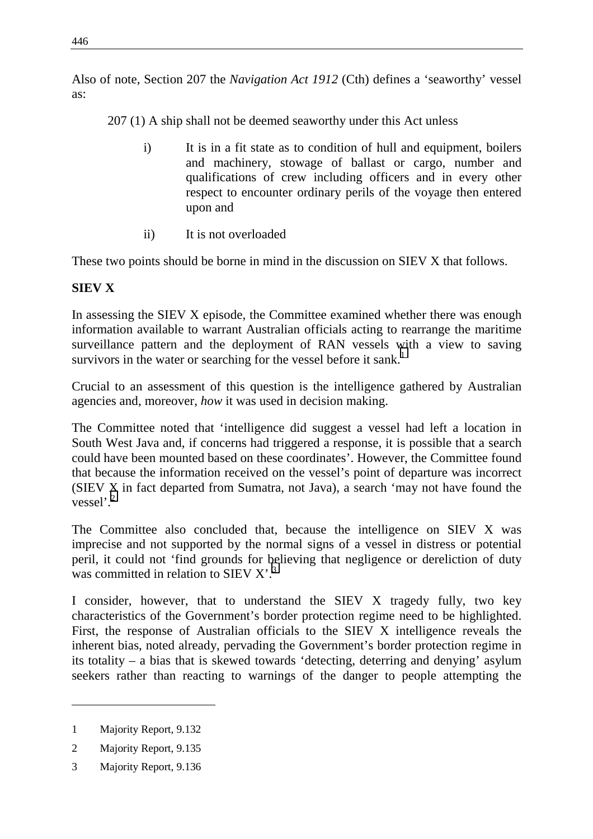Also of note, Section 207 the *Navigation Act 1912* (Cth) defines a 'seaworthy' vessel as:

207 (1) A ship shall not be deemed seaworthy under this Act unless

- i) It is in a fit state as to condition of hull and equipment, boilers and machinery, stowage of ballast or cargo, number and qualifications of crew including officers and in every other respect to encounter ordinary perils of the voyage then entered upon and
- ii) It is not overloaded

These two points should be borne in mind in the discussion on SIEV X that follows.

### **SIEV X**

In assessing the SIEV X episode, the Committee examined whether there was enough information available to warrant Australian officials acting to rearrange the maritime surveillance pattern and the deployment of RAN vessels with a view to saving survivors in the water or searching for the vessel before it sank.<sup>1</sup>

Crucial to an assessment of this question is the intelligence gathered by Australian agencies and, moreover, *how* it was used in decision making.

The Committee noted that 'intelligence did suggest a vessel had left a location in South West Java and, if concerns had triggered a response, it is possible that a search could have been mounted based on these coordinates'. However, the Committee found that because the information received on the vessel's point of departure was incorrect (SIEV X in fact departed from Sumatra, not Java), a search 'may not have found the vessel'.<sup>2</sup>

The Committee also concluded that, because the intelligence on SIEV X was imprecise and not supported by the normal signs of a vessel in distress or potential peril, it could not 'find grounds for believing that negligence or dereliction of duty was committed in relation to SIEV  $X^3$ .

I consider, however, that to understand the SIEV X tragedy fully, two key characteristics of the Government's border protection regime need to be highlighted. First, the response of Australian officials to the SIEV X intelligence reveals the inherent bias, noted already, pervading the Government's border protection regime in its totality – a bias that is skewed towards 'detecting, deterring and denying' asylum seekers rather than reacting to warnings of the danger to people attempting the

<sup>1</sup> Majority Report, 9.132

<sup>2</sup> Majority Report, 9.135

<sup>3</sup> Majority Report, 9.136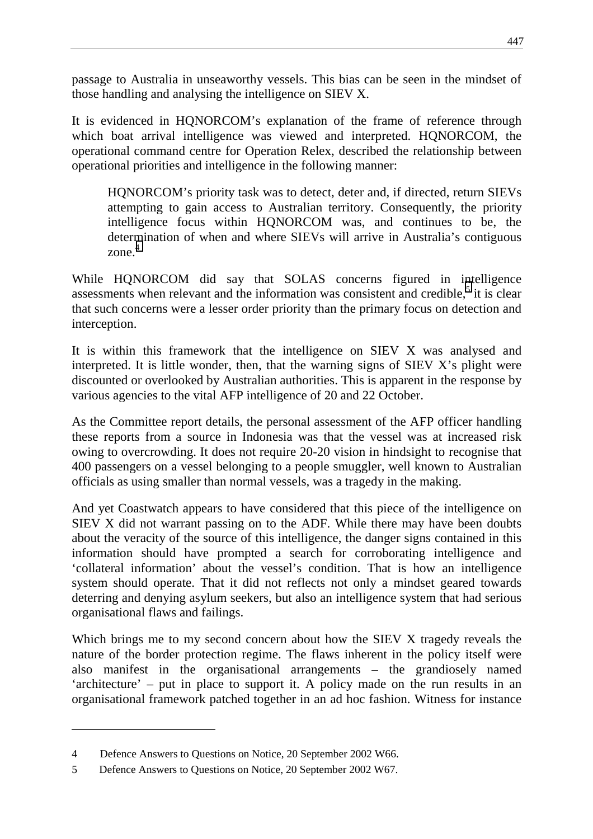passage to Australia in unseaworthy vessels. This bias can be seen in the mindset of those handling and analysing the intelligence on SIEV X.

It is evidenced in HQNORCOM's explanation of the frame of reference through which boat arrival intelligence was viewed and interpreted. HQNORCOM, the operational command centre for Operation Relex, described the relationship between operational priorities and intelligence in the following manner:

HQNORCOM's priority task was to detect, deter and, if directed, return SIEVs attempting to gain access to Australian territory. Consequently, the priority intelligence focus within HQNORCOM was, and continues to be, the determination of when and where SIEVs will arrive in Australia's contiguous zone. 4

While HQNORCOM did say that SOLAS concerns figured in intelligence assessments when relevant and the information was consistent and credible, $5$  it is clear that such concerns were a lesser order priority than the primary focus on detection and interception.

It is within this framework that the intelligence on SIEV X was analysed and interpreted. It is little wonder, then, that the warning signs of SIEV X's plight were discounted or overlooked by Australian authorities. This is apparent in the response by various agencies to the vital AFP intelligence of 20 and 22 October.

As the Committee report details, the personal assessment of the AFP officer handling these reports from a source in Indonesia was that the vessel was at increased risk owing to overcrowding. It does not require 20-20 vision in hindsight to recognise that 400 passengers on a vessel belonging to a people smuggler, well known to Australian officials as using smaller than normal vessels, was a tragedy in the making.

And yet Coastwatch appears to have considered that this piece of the intelligence on SIEV X did not warrant passing on to the ADF. While there may have been doubts about the veracity of the source of this intelligence, the danger signs contained in this information should have prompted a search for corroborating intelligence and 'collateral information' about the vessel's condition. That is how an intelligence system should operate. That it did not reflects not only a mindset geared towards deterring and denying asylum seekers, but also an intelligence system that had serious organisational flaws and failings.

Which brings me to my second concern about how the SIEV X tragedy reveals the nature of the border protection regime. The flaws inherent in the policy itself were also manifest in the organisational arrangements – the grandiosely named 'architecture' – put in place to support it. A policy made on the run results in an organisational framework patched together in an ad hoc fashion. Witness for instance

<sup>4</sup> Defence Answers to Questions on Notice, 20 September 2002 W66.

<sup>5</sup> Defence Answers to Questions on Notice, 20 September 2002 W67.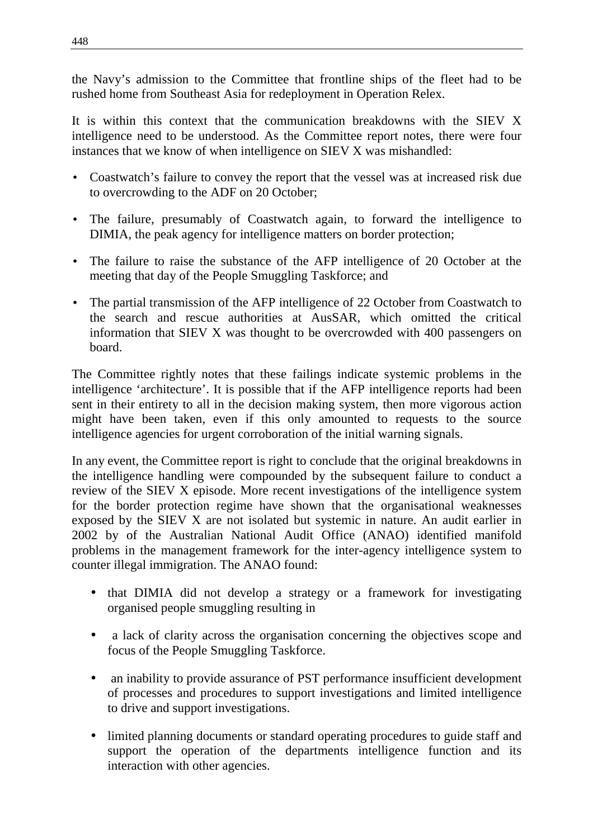the Navy's admission to the Committee that frontline ships of the fleet had to be rushed home from Southeast Asia for redeployment in Operation Relex.

It is within this context that the communication breakdowns with the SIEV X intelligence need to be understood. As the Committee report notes, there were four instances that we know of when intelligence on SIEV X was mishandled:

- Coastwatch's failure to convey the report that the vessel was at increased risk due to overcrowding to the ADF on 20 October;
- The failure, presumably of Coastwatch again, to forward the intelligence to DIMIA, the peak agency for intelligence matters on border protection;
- The failure to raise the substance of the AFP intelligence of 20 October at the meeting that day of the People Smuggling Taskforce; and
- The partial transmission of the AFP intelligence of 22 October from Coastwatch to the search and rescue authorities at AusSAR, which omitted the critical information that SIEV X was thought to be overcrowded with 400 passengers on board.

The Committee rightly notes that these failings indicate systemic problems in the intelligence 'architecture'. It is possible that if the AFP intelligence reports had been sent in their entirety to all in the decision making system, then more vigorous action might have been taken, even if this only amounted to requests to the source intelligence agencies for urgent corroboration of the initial warning signals.

In any event, the Committee report is right to conclude that the original breakdowns in the intelligence handling were compounded by the subsequent failure to conduct a review of the SIEV X episode. More recent investigations of the intelligence system for the border protection regime have shown that the organisational weaknesses exposed by the SIEV X are not isolated but systemic in nature. An audit earlier in 2002 by of the Australian National Audit Office (ANAO) identified manifold problems in the management framework for the inter-agency intelligence system to counter illegal immigration. The ANAO found:

- that DIMIA did not develop a strategy or a framework for investigating organised people smuggling resulting in
- a lack of clarity across the organisation concerning the objectives scope and focus of the People Smuggling Taskforce.
- an inability to provide assurance of PST performance insufficient development of processes and procedures to support investigations and limited intelligence to drive and support investigations.
- limited planning documents or standard operating procedures to guide staff and support the operation of the departments intelligence function and its interaction with other agencies.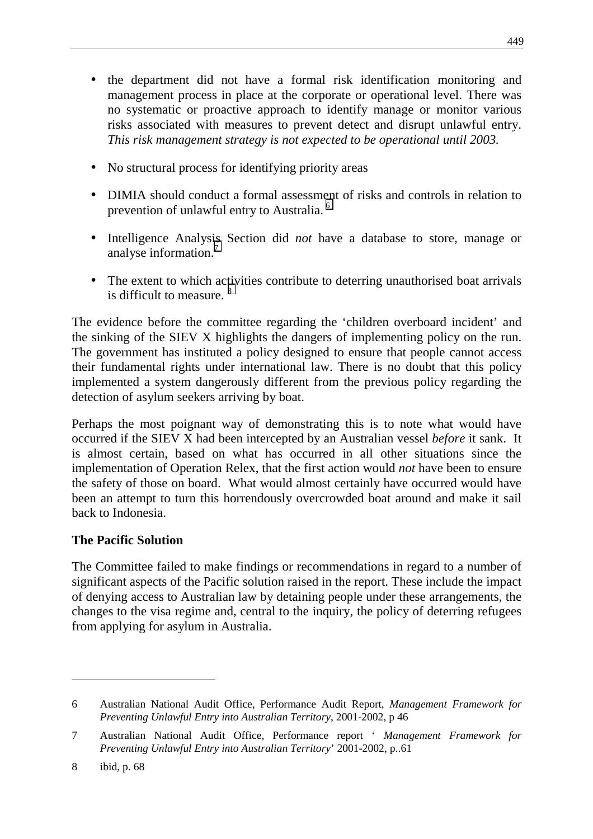- the department did not have a formal risk identification monitoring and management process in place at the corporate or operational level. There was no systematic or proactive approach to identify manage or monitor various risks associated with measures to prevent detect and disrupt unlawful entry. *This risk management strategy is not expected to be operational until 2003.*
- No structural process for identifying priority areas
- DIMIA should conduct a formal assessment of risks and controls in relation to prevention of unlawful entry to Australia. 6
- Intelligence Analysis Section did *not* have a database to store, manage or analyse information.<sup>7</sup>
- The extent to which activities contribute to deterring unauthorised boat arrivals is difficult to measure.<sup>8</sup>

The evidence before the committee regarding the 'children overboard incident' and the sinking of the SIEV X highlights the dangers of implementing policy on the run. The government has instituted a policy designed to ensure that people cannot access their fundamental rights under international law. There is no doubt that this policy implemented a system dangerously different from the previous policy regarding the detection of asylum seekers arriving by boat.

Perhaps the most poignant way of demonstrating this is to note what would have occurred if the SIEV X had been intercepted by an Australian vessel *before* it sank. It is almost certain, based on what has occurred in all other situations since the implementation of Operation Relex, that the first action would *not* have been to ensure the safety of those on board. What would almost certainly have occurred would have been an attempt to turn this horrendously overcrowded boat around and make it sail back to Indonesia.

## **The Pacific Solution**

The Committee failed to make findings or recommendations in regard to a number of significant aspects of the Pacific solution raised in the report. These include the impact of denying access to Australian law by detaining people under these arrangements, the changes to the visa regime and, central to the inquiry, the policy of deterring refugees from applying for asylum in Australia.

 $\overline{a}$ 

<sup>6</sup> Australian National Audit Office*,* Performance Audit Report, *Management Framework for Preventing Unlawful Entry into Australian Territory*, 2001-2002, p 46

<sup>7</sup> Australian National Audit Office*,* Performance report ' *Management Framework for Preventing Unlawful Entry into Australian Territory*' 2001-2002, p..61

<sup>8</sup> ibid, p. 68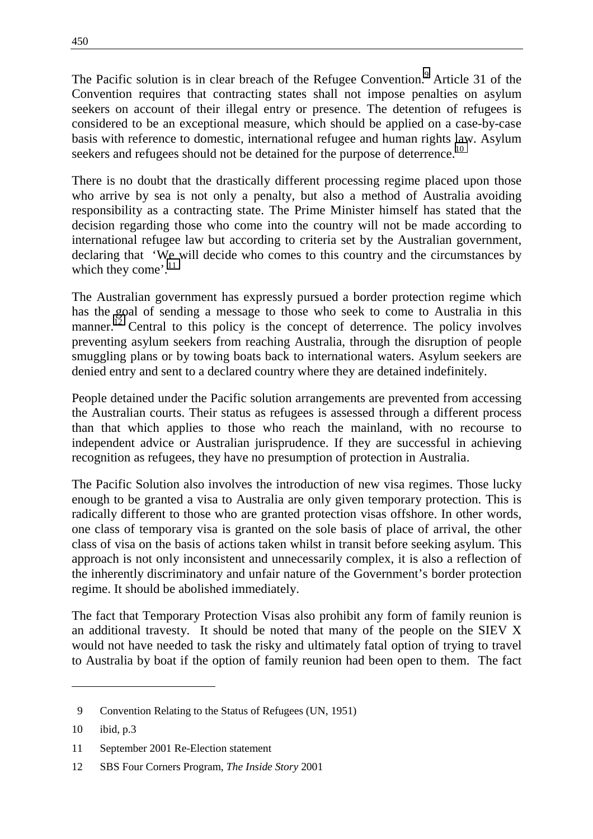The Pacific solution is in clear breach of the Refugee Convention.<sup>9</sup> Article 31 of the Convention requires that contracting states shall not impose penalties on asylum seekers on account of their illegal entry or presence. The detention of refugees is considered to be an exceptional measure, which should be applied on a case-by-case basis with reference to domestic, international refugee and human rights law. Asylum seekers and refugees should not be detained for the purpose of deterrence.<sup>10</sup>

There is no doubt that the drastically different processing regime placed upon those who arrive by sea is not only a penalty, but also a method of Australia avoiding responsibility as a contracting state. The Prime Minister himself has stated that the decision regarding those who come into the country will not be made according to international refugee law but according to criteria set by the Australian government, declaring that 'We will decide who comes to this country and the circumstances by which they come'.<sup>11</sup>

The Australian government has expressly pursued a border protection regime which has the goal of sending a message to those who seek to come to Australia in this manner.<sup>12</sup> Central to this policy is the concept of deterrence. The policy involves preventing asylum seekers from reaching Australia, through the disruption of people smuggling plans or by towing boats back to international waters. Asylum seekers are denied entry and sent to a declared country where they are detained indefinitely.

People detained under the Pacific solution arrangements are prevented from accessing the Australian courts. Their status as refugees is assessed through a different process than that which applies to those who reach the mainland, with no recourse to independent advice or Australian jurisprudence. If they are successful in achieving recognition as refugees, they have no presumption of protection in Australia.

The Pacific Solution also involves the introduction of new visa regimes. Those lucky enough to be granted a visa to Australia are only given temporary protection. This is radically different to those who are granted protection visas offshore. In other words, one class of temporary visa is granted on the sole basis of place of arrival, the other class of visa on the basis of actions taken whilst in transit before seeking asylum. This approach is not only inconsistent and unnecessarily complex, it is also a reflection of the inherently discriminatory and unfair nature of the Government's border protection regime. It should be abolished immediately.

The fact that Temporary Protection Visas also prohibit any form of family reunion is an additional travesty. It should be noted that many of the people on the SIEV X would not have needed to task the risky and ultimately fatal option of trying to travel to Australia by boat if the option of family reunion had been open to them. The fact

 $\overline{a}$ 

 <sup>9</sup> Convention Relating to the Status of Refugees (UN, 1951)

<sup>10</sup> ibid, p.3

<sup>11</sup> September 2001 Re-Election statement

<sup>12</sup> SBS Four Corners Program, *The Inside Story* 2001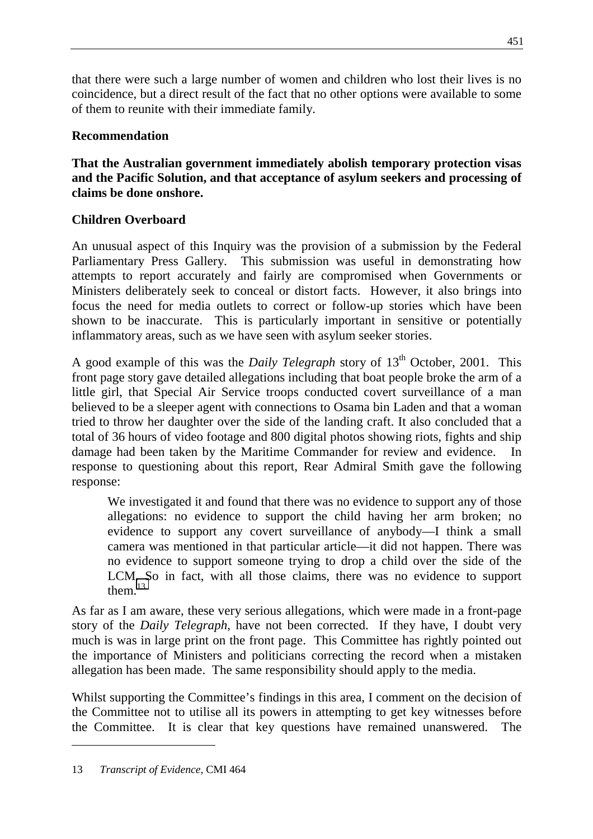that there were such a large number of women and children who lost their lives is no coincidence, but a direct result of the fact that no other options were available to some of them to reunite with their immediate family.

## **Recommendation**

**That the Australian government immediately abolish temporary protection visas and the Pacific Solution, and that acceptance of asylum seekers and processing of claims be done onshore.**

# **Children Overboard**

An unusual aspect of this Inquiry was the provision of a submission by the Federal Parliamentary Press Gallery. This submission was useful in demonstrating how attempts to report accurately and fairly are compromised when Governments or Ministers deliberately seek to conceal or distort facts. However, it also brings into focus the need for media outlets to correct or follow-up stories which have been shown to be inaccurate. This is particularly important in sensitive or potentially inflammatory areas, such as we have seen with asylum seeker stories.

A good example of this was the *Daily Telegraph* story of 13<sup>th</sup> October, 2001. This front page story gave detailed allegations including that boat people broke the arm of a little girl, that Special Air Service troops conducted covert surveillance of a man believed to be a sleeper agent with connections to Osama bin Laden and that a woman tried to throw her daughter over the side of the landing craft. It also concluded that a total of 36 hours of video footage and 800 digital photos showing riots, fights and ship damage had been taken by the Maritime Commander for review and evidence. In response to questioning about this report, Rear Admiral Smith gave the following response:

We investigated it and found that there was no evidence to support any of those allegations: no evidence to support the child having her arm broken; no evidence to support any covert surveillance of anybody—I think a small camera was mentioned in that particular article—it did not happen. There was no evidence to support someone trying to drop a child over the side of the LCM. So in fact, with all those claims, there was no evidence to support them. $^{13}$ 

As far as I am aware, these very serious allegations, which were made in a front-page story of the *Daily Telegraph*, have not been corrected. If they have, I doubt very much is was in large print on the front page. This Committee has rightly pointed out the importance of Ministers and politicians correcting the record when a mistaken allegation has been made. The same responsibility should apply to the media.

Whilst supporting the Committee's findings in this area, I comment on the decision of the Committee not to utilise all its powers in attempting to get key witnesses before the Committee. It is clear that key questions have remained unanswered. The

 $\overline{a}$